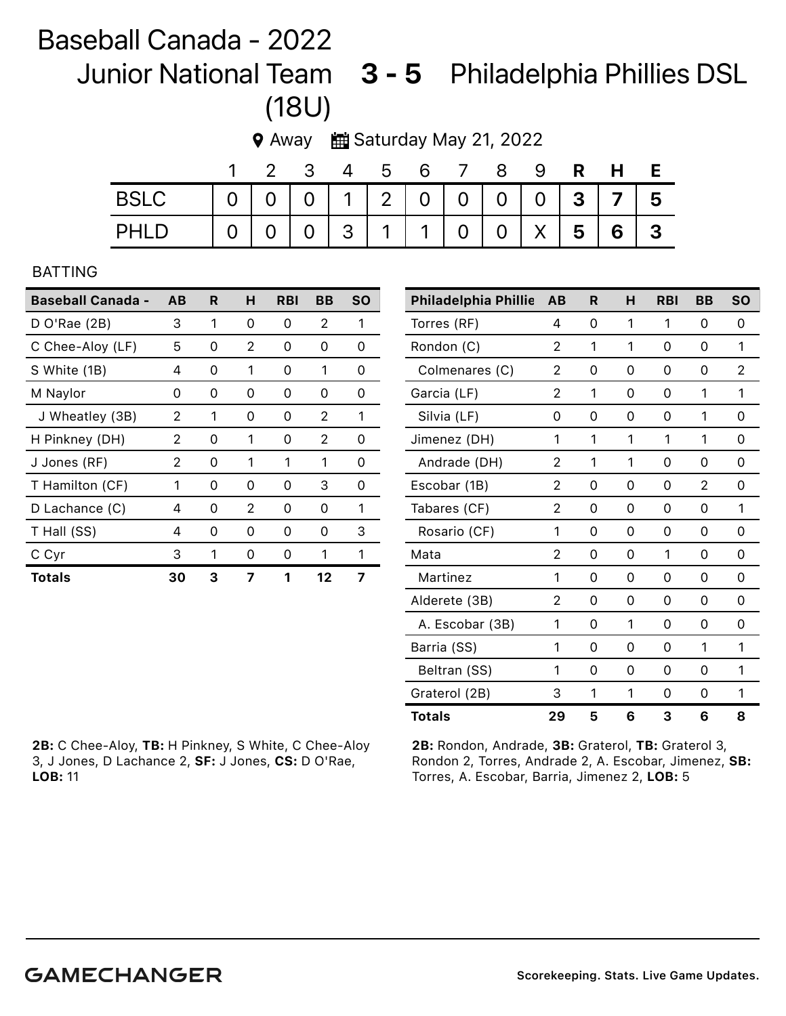## Baseball Canada - 2022

Junior National Team 3 - 5 Philadelphia Phillies DSL (18U)

**♦ Away ■ Saturday May 21, 2022** 

|             | $\overline{2}$ |  |  | 3 4 5 6 7 8                                     |  | 9 R H E |  |
|-------------|----------------|--|--|-------------------------------------------------|--|---------|--|
| <b>BSLC</b> |                |  |  | 0 0 0 1 2 0 0 0 0 3 7 5                         |  |         |  |
| PHLD        |                |  |  | $0   0   0   3   1   1   0   0   1   5   6   3$ |  |         |  |

## BATTING

| <b>Baseball Canada -</b> | AB | R | н | <b>RBI</b> | BB                | <b>SO</b> |
|--------------------------|----|---|---|------------|-------------------|-----------|
| $D$ O'Rae (2B)           | 3  | 1 | Ω | 0          | 2                 | 1         |
| C Chee-Aloy (LF)         | 5  | 0 | 2 | 0          | Ω                 | 0         |
| S White (1B)             | 4  | 0 | 1 | 0          | 1                 | 0         |
| M Naylor                 | 0  | 0 | 0 | 0          | 0                 | 0         |
| J Wheatley (3B)          | 2  | 1 | O | Ω          | 2                 | 1         |
| H Pinkney (DH)           | 2  | 0 | 1 | 0          | 2                 | ი         |
| J Jones (RF)             | 2  | 0 | 1 | 1          | 1                 | 0         |
| T Hamilton (CF)          | 1  | 0 | 0 | 0          | 3                 | Ω         |
| D Lachance (C)           | 4  | 0 | 2 | 0          | O                 | 1         |
| T Hall (SS)              | 4  | 0 | 0 | Ω          | $\mathbf{\Omega}$ | З         |
| C Cyr                    | 3  | 1 | 0 | Ω          | 1                 | 1         |
| Totals                   | 30 | 3 | 7 | 1          | $12 \,$           | 7         |

| <b>Philadelphia Phillie</b> | AB | R | н        | <b>RBI</b> | BB       | <b>SO</b> |
|-----------------------------|----|---|----------|------------|----------|-----------|
| Torres (RF)                 | 4  | 0 | 1        | 1          | 0        | 0         |
| Rondon (C)                  | 2  | 1 | 1        | 0          | 0        | 1         |
| Colmenares (C)              | 2  | 0 | 0        | 0          | 0        | 2         |
| Garcia (LF)                 | 2  | 1 | 0        | 0          | 1        | 1         |
| Silvia (LF)                 | 0  | 0 | 0        | 0          | 1        | 0         |
| Jimenez (DH)                | 1  | 1 | 1        | 1          | 1        | 0         |
| Andrade (DH)                | 2  | 1 | 1        | 0          | 0        | 0         |
| Escobar (1B)                | 2  | 0 | 0        | 0          | 2        | 0         |
| Tabares (CF)                | 2  | 0 | 0        | 0          | $\Omega$ | 1         |
| Rosario (CF)                | 1  | 0 | 0        | 0          | $\Omega$ | 0         |
| Mata                        | 2  | 0 | 0        | 1          | $\Omega$ | 0         |
| Martinez                    | 1  | 0 | 0        | 0          | 0        | 0         |
| Alderete (3B)               | 2  | 0 | 0        | 0          | $\Omega$ | 0         |
| A. Escobar (3B)             | 1  | 0 | 1        | 0          | 0        | 0         |
| Barria (SS)                 | 1  | 0 | $\Omega$ | 0          | 1        | 1         |
| Beltran (SS)                | 1  | 0 | $\Omega$ | 0          | $\Omega$ | 1         |
| Graterol (2B)               | 3  | 1 | 1        | 0          | 0        | 1         |
| <b>Totals</b>               | 29 | 5 | 6        | 3          | 6        | 8         |

2B: C Chee-Aloy, TB: H Pinkney, S White, C Chee-Aloy 3, J Jones, D Lachance 2, SF: J Jones, CS: D O'Rae, LOB: 11

2B: Rondon, Andrade, 3B: Graterol, TB: Graterol 3, Rondon 2, Torres, Andrade 2, A. Escobar, Jimenez, SB: Torres, A. Escobar, Barria, Jimenez 2, LOB: 5